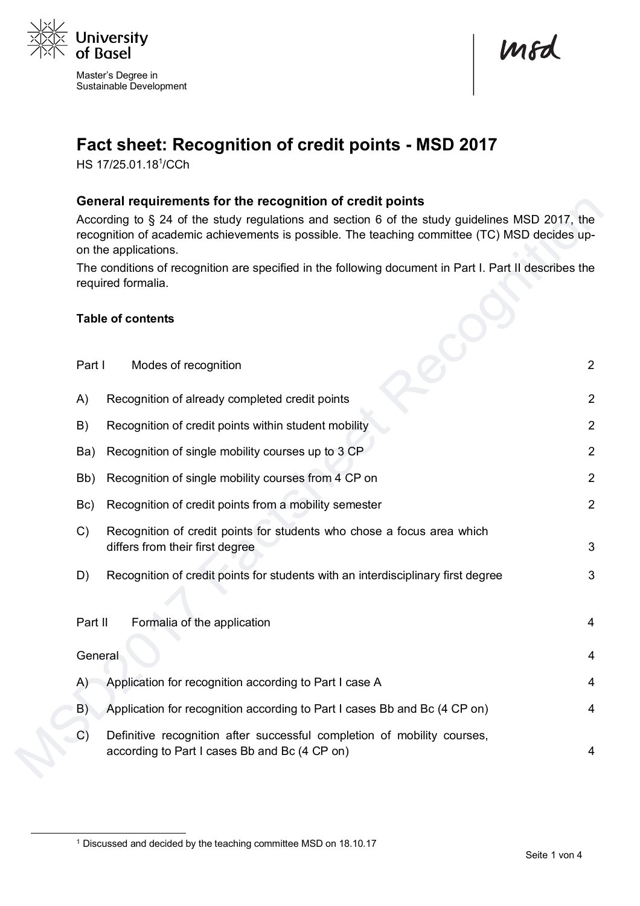

Master's Degree in Sustainable Development

mod

# **Fact sheet: Recognition of credit points - MSD 2017**

HS 17/25.01.18<sup>1</sup>/CCh

#### **General requirements for the recognition of credit points**

According to § 24 of the study regulations and section 6 of the study guidelines MSD 2017, the recognition of academic achievements is possible. The teaching committee (TC) MSD decides upon the applications.

The conditions of recognition are specified in the following document in Part I. Part II describes the required formalia.

#### **Table of contents**

| Part I        | Modes of recognition                                                                                                     | $\overline{2}$ |
|---------------|--------------------------------------------------------------------------------------------------------------------------|----------------|
| A)            | Recognition of already completed credit points                                                                           | $\overline{2}$ |
| B)            | Recognition of credit points within student mobility                                                                     | $\overline{2}$ |
| Ba)           | Recognition of single mobility courses up to 3 CP                                                                        | $\overline{2}$ |
| Bb)           | Recognition of single mobility courses from 4 CP on                                                                      | $\overline{2}$ |
| Bc)           | Recognition of credit points from a mobility semester                                                                    | $\overline{2}$ |
| C)            | Recognition of credit points for students who chose a focus area which<br>differs from their first degree                | 3              |
| D)            | Recognition of credit points for students with an interdisciplinary first degree                                         | 3              |
| Part II       | Formalia of the application                                                                                              | $\overline{4}$ |
| General       |                                                                                                                          | $\overline{4}$ |
| (A)           | Application for recognition according to Part I case A                                                                   | 4              |
| B)            | Application for recognition according to Part I cases Bb and Bc (4 CP on)                                                | $\overline{4}$ |
| $\mathcal{C}$ | Definitive recognition after successful completion of mobility courses,<br>according to Part I cases Bb and Bc (4 CP on) | 4              |

<sup>&</sup>lt;sup>1</sup> Discussed and decided by the teaching committee MSD on 18.10.17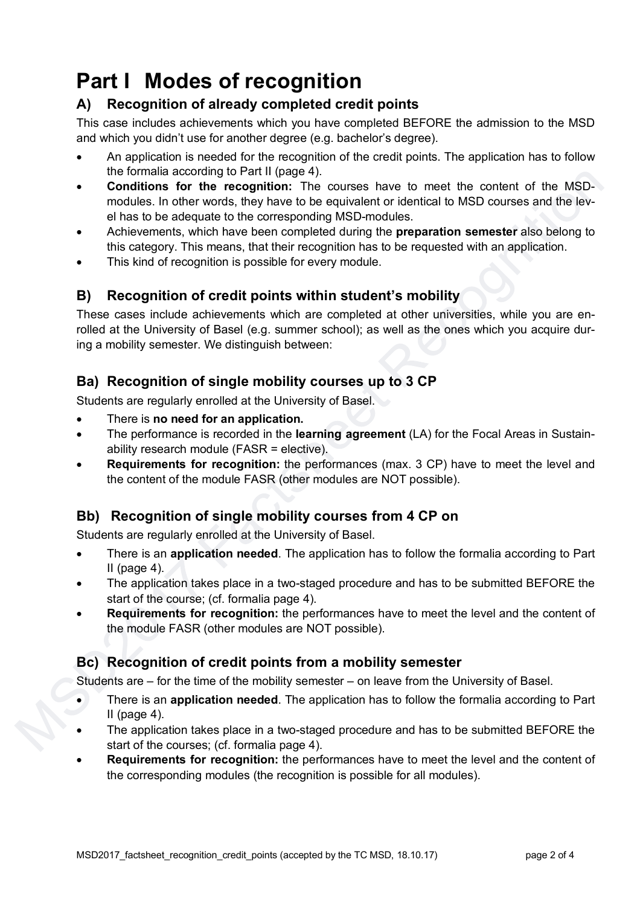# **Part I Modes of recognition**

# **A) Recognition of already completed credit points**

This case includes achievements which you have completed BEFORE the admission to the MSD and which you didn't use for another degree (e.g. bachelor's degree).

- An application is needed for the recognition of the credit points. The application has to follow the formalia according to Part II (page 4).
- **Conditions for the recognition:** The courses have to meet the content of the MSDmodules. In other words, they have to be equivalent or identical to MSD courses and the level has to be adequate to the corresponding MSD-modules.
- Achievements, which have been completed during the **preparation semester** also belong to this category. This means, that their recognition has to be requested with an application.
- This kind of recognition is possible for every module.

# **B) Recognition of credit points within student's mobility**

These cases include achievements which are completed at other universities, while you are enrolled at the University of Basel (e.g. summer school); as well as the ones which you acquire during a mobility semester. We distinguish between:

# **Ba) Recognition of single mobility courses up to 3 CP**

Students are regularly enrolled at the University of Basel.

- There is **no need for an application.**
- The performance is recorded in the **learning agreement** (LA) for the Focal Areas in Sustainability research module (FASR = elective).
- **Requirements for recognition:** the performances (max. 3 CP) have to meet the level and the content of the module FASR (other modules are NOT possible).

# **Bb) Recognition of single mobility courses from 4 CP on**

Students are regularly enrolled at the University of Basel.

- There is an **application needed**. The application has to follow the formalia according to Part II (page  $4$ ).
- The application takes place in a two-staged procedure and has to be submitted BEFORE the start of the course; (cf. formalia page 4).
- **Requirements for recognition:** the performances have to meet the level and the content of the module FASR (other modules are NOT possible).

# **Bc) Recognition of credit points from a mobility semester**

Students are – for the time of the mobility semester – on leave from the University of Basel.

- There is an **application needed**. The application has to follow the formalia according to Part II (page  $4$ ).
- The application takes place in a two-staged procedure and has to be submitted BEFORE the start of the courses; (cf. formalia page 4).
- **Requirements for recognition:** the performances have to meet the level and the content of the corresponding modules (the recognition is possible for all modules).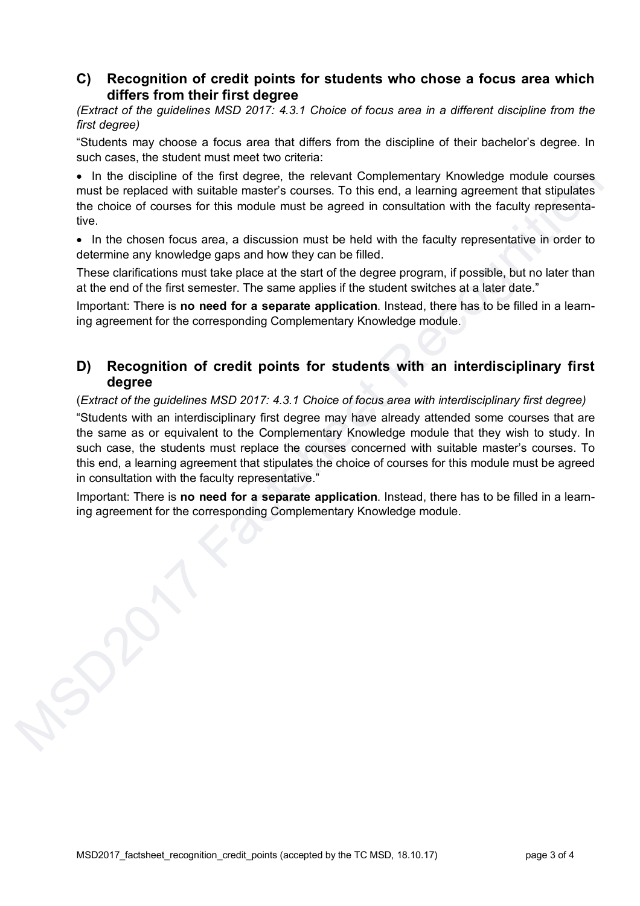#### **C) Recognition of credit points for students who chose a focus area which differs from their first degree**

*(Extract of the guidelines MSD 2017: 4.3.1 Choice of focus area in a different discipline from the first degree)*

"Students may choose a focus area that differs from the discipline of their bachelor's degree. In such cases, the student must meet two criteria:

• In the discipline of the first degree, the relevant Complementary Knowledge module courses must be replaced with suitable master's courses. To this end, a learning agreement that stipulates the choice of courses for this module must be agreed in consultation with the faculty representative.

• In the chosen focus area, a discussion must be held with the faculty representative in order to determine any knowledge gaps and how they can be filled.

These clarifications must take place at the start of the degree program, if possible, but no later than at the end of the first semester. The same applies if the student switches at a later date."

Important: There is **no need for a separate application**. Instead, there has to be filled in a learning agreement for the corresponding Complementary Knowledge module.

### **D) Recognition of credit points for students with an interdisciplinary first degree**

(*Extract of the guidelines MSD 2017: 4.3.1 Choice of focus area with interdisciplinary first degree)* "Students with an interdisciplinary first degree may have already attended some courses that are

the same as or equivalent to the Complementary Knowledge module that they wish to study. In such case, the students must replace the courses concerned with suitable master's courses. To this end, a learning agreement that stipulates the choice of courses for this module must be agreed in consultation with the faculty representative."

Important: There is **no need for a separate application**. Instead, there has to be filled in a learning agreement for the corresponding Complementary Knowledge module.